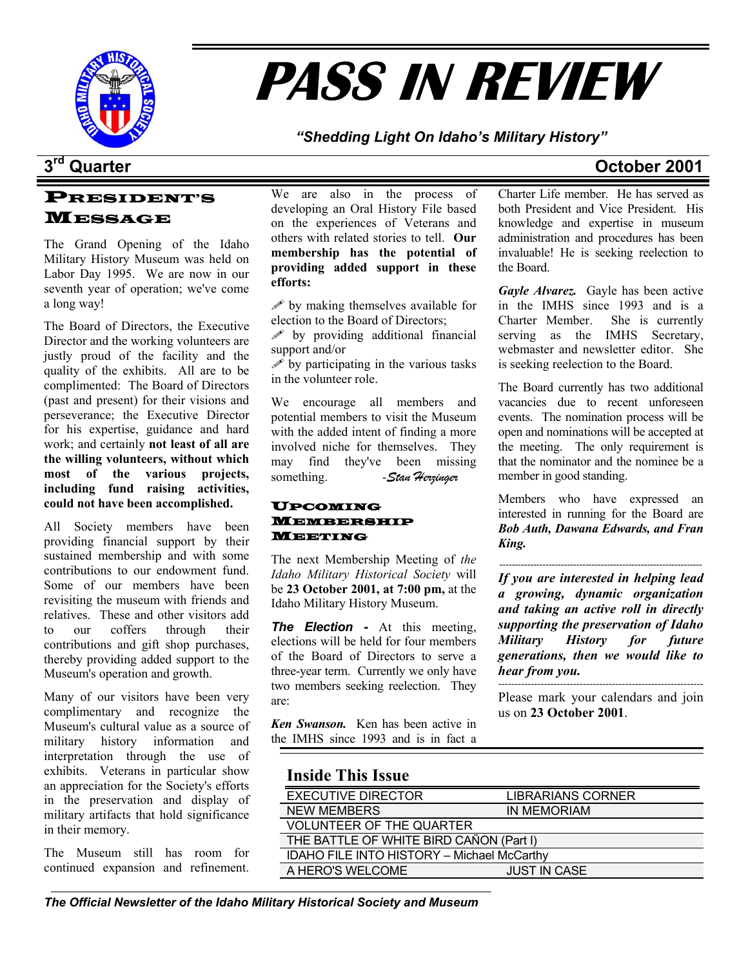

# **PASS IN REVIEW**

*"Shedding Light On Idaho's Military History"* 

# **3rd Quarter October 2001**

### PRESIDENT'S MESSAGE

The Grand Opening of the Idaho Military History Museum was held on Labor Day 1995. We are now in our seventh year of operation; we've come a long way!

The Board of Directors, the Executive Director and the working volunteers are justly proud of the facility and the quality of the exhibits. All are to be complimented: The Board of Directors (past and present) for their visions and perseverance; the Executive Director for his expertise, guidance and hard work; and certainly **not least of all are the willing volunteers, without which most of the various projects, including fund raising activities, could not have been accomplished.** 

All Society members have been providing financial support by their sustained membership and with some contributions to our endowment fund. Some of our members have been revisiting the museum with friends and relatives. These and other visitors add to our coffers through their contributions and gift shop purchases, thereby providing added support to the Museum's operation and growth.

Many of our visitors have been very complimentary and recognize the Museum's cultural value as a source of military history information and interpretation through the use of exhibits. Veterans in particular show an appreciation for the Society's efforts in the preservation and display of military artifacts that hold significance in their memory.

The Museum still has room for continued expansion and refinement.

We are also in the process of developing an Oral History File based on the experiences of Veterans and others with related stories to tell. **Our membership has the potential of providing added support in these efforts:** 

 $\mathscr{P}$  by making themselves available for election to the Board of Directors;

 $\mathscr{P}$  by providing additional financial support and/or

 $\mathscr S$  by participating in the various tasks in the volunteer role.

We encourage all members and potential members to visit the Museum with the added intent of finding a more involved niche for themselves. They may find they've been missing something. - Stan Herzinger

### UPCOMING MEMBERSHIP MEETING

The next Membership Meeting of *the Idaho Military Historical Society* will be **23 October 2001, at 7:00 pm,** at the Idaho Military History Museum.

*The Election -* At this meeting, elections will be held for four members of the Board of Directors to serve a three-year term. Currently we only have two members seeking reelection. They are:

*Ken Swanson.* Ken has been active in the IMHS since 1993 and is in fact a Charter Life member. He has served as both President and Vice President. His knowledge and expertise in museum administration and procedures has been invaluable! He is seeking reelection to the Board.

*Gayle Alvarez.* Gayle has been active in the IMHS since 1993 and is a Charter Member. She is currently serving as the IMHS Secretary, webmaster and newsletter editor. She is seeking reelection to the Board.

The Board currently has two additional vacancies due to recent unforeseen events. The nomination process will be open and nominations will be accepted at the meeting. The only requirement is that the nominator and the nominee be a member in good standing.

Members who have expressed an interested in running for the Board are *Bob Auth, Dawana Edwards, and Fran King.* 

------------------------------------------------------------------ *If you are interested in helping lead a growing, dynamic organization and taking an active roll in directly supporting the preservation of Idaho Military History for future generations, then we would like to hear from you.* ---------------------------------------------------------------

Please mark your calendars and join us on **23 October 2001**.

### **Inside This Issue**

| <b>EXECUTIVE DIRECTOR</b>                         | <b>LIBRARIANS CORNER</b> |  |
|---------------------------------------------------|--------------------------|--|
| <b>NEW MEMBERS</b>                                | IN MEMORIAM              |  |
| <b>VOLUNTEER OF THE QUARTER</b>                   |                          |  |
| THE BATTLE OF WHITE BIRD CAÑON (Part I)           |                          |  |
| <b>IDAHO FILE INTO HISTORY - Michael McCarthy</b> |                          |  |
| A HERO'S WELCOME                                  | <b>JUST IN CASE</b>      |  |
|                                                   |                          |  |

*The Official Newsletter of the Idaho Military Historical Society and Museum*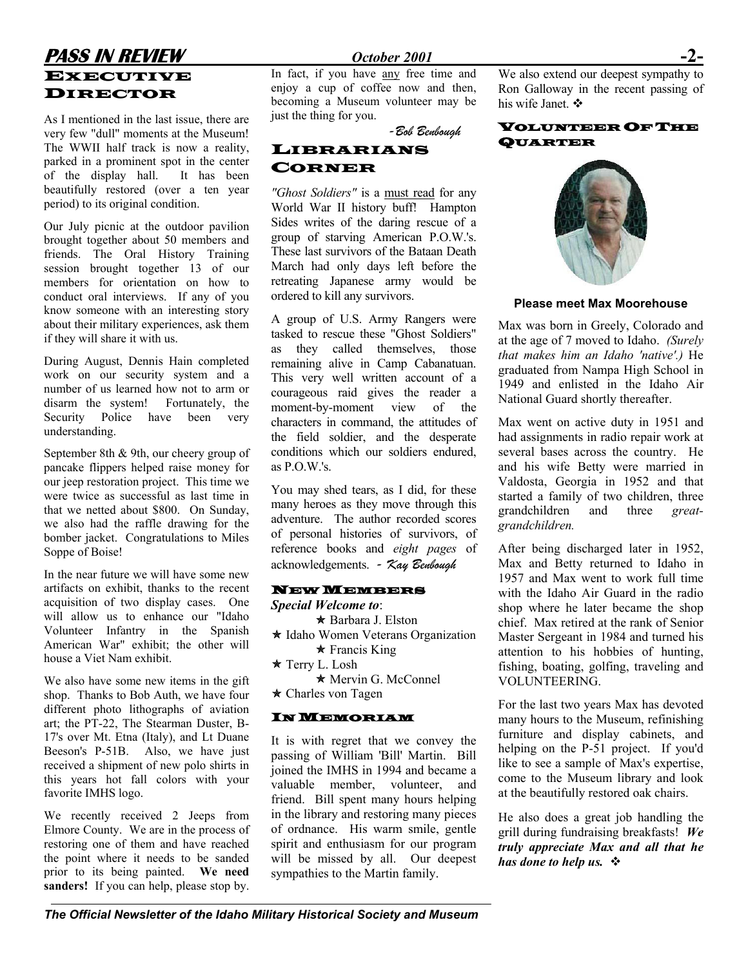## **PASS IN REVIEW** *October 2001* EXECUTIVE DIRECTOR

As I mentioned in the last issue, there are very few "dull" moments at the Museum! The WWII half track is now a reality, parked in a prominent spot in the center of the display hall. It has been beautifully restored (over a ten year period) to its original condition.

Our July picnic at the outdoor pavilion brought together about 50 members and friends. The Oral History Training session brought together 13 of our members for orientation on how to conduct oral interviews. If any of you know someone with an interesting story about their military experiences, ask them if they will share it with us.

During August, Dennis Hain completed work on our security system and a number of us learned how not to arm or disarm the system! Fortunately, the Security Police have been very understanding.

September 8th & 9th, our cheery group of pancake flippers helped raise money for our jeep restoration project. This time we were twice as successful as last time in that we netted about \$800. On Sunday, we also had the raffle drawing for the bomber jacket. Congratulations to Miles Soppe of Boise!

In the near future we will have some new artifacts on exhibit, thanks to the recent acquisition of two display cases. One will allow us to enhance our "Idaho Volunteer Infantry in the Spanish American War" exhibit; the other will house a Viet Nam exhibit.

We also have some new items in the gift shop. Thanks to Bob Auth, we have four different photo lithographs of aviation art; the PT-22, The Stearman Duster, B-17's over Mt. Etna (Italy), and Lt Duane Beeson's P-51B. Also, we have just received a shipment of new polo shirts in this years hot fall colors with your favorite IMHS logo.

We recently received 2 Jeeps from Elmore County. We are in the process of restoring one of them and have reached the point where it needs to be sanded prior to its being painted. **We need sanders!** If you can help, please stop by.

In fact, if you have any free time and enjoy a cup of coffee now and then, becoming a Museum volunteer may be just the thing for you.



### LIBRARIANS CORNER

*"Ghost Soldiers"* is a must read for any World War II history buff! Hampton Sides writes of the daring rescue of a group of starving American P.O.W.'s. These last survivors of the Bataan Death March had only days left before the retreating Japanese army would be ordered to kill any survivors. **Please meet Max Moorehouse** 

A group of U.S. Army Rangers were tasked to rescue these "Ghost Soldiers" as they called themselves, those remaining alive in Camp Cabanatuan. This very well written account of a courageous raid gives the reader a moment-by-moment view of the characters in command, the attitudes of the field soldier, and the desperate conditions which our soldiers endured, as  $P \cap W$ 's

You may shed tears, as I did, for these many heroes as they move through this adventure. The author recorded scores of personal histories of survivors, of reference books and *eight pages* of acknowledgements. *- Kay Benbough* 

### NEW MEMBERS

*Special Welcome to*:  $\star$  Barbara J. Elston  $\star$  Idaho Women Veterans Organization  $\star$  Francis King  $\star$  Terry L. Losh ★ Mervin G. McConnel  $\star$  Charles von Tagen

### IN MEMORIAM

It is with regret that we convey the passing of William 'Bill' Martin. Bill joined the IMHS in 1994 and became a valuable member, volunteer, and friend. Bill spent many hours helping in the library and restoring many pieces of ordnance. His warm smile, gentle spirit and enthusiasm for our program will be missed by all. Our deepest sympathies to the Martin family.

We also extend our deepest sympathy to Ron Galloway in the recent passing of his wife Janet. ❖

### VOLUNTEER OF THE QUARTER *-Bob Benbough*



Max was born in Greely, Colorado and at the age of 7 moved to Idaho. *(Surely that makes him an Idaho 'native'.)* He graduated from Nampa High School in 1949 and enlisted in the Idaho Air National Guard shortly thereafter.

Max went on active duty in 1951 and had assignments in radio repair work at several bases across the country. He and his wife Betty were married in Valdosta, Georgia in 1952 and that started a family of two children, three grandchildren and three *greatgrandchildren.* 

After being discharged later in 1952, Max and Betty returned to Idaho in 1957 and Max went to work full time with the Idaho Air Guard in the radio shop where he later became the shop chief. Max retired at the rank of Senior Master Sergeant in 1984 and turned his attention to his hobbies of hunting, fishing, boating, golfing, traveling and VOLUNTEERING.

For the last two years Max has devoted many hours to the Museum, refinishing furniture and display cabinets, and helping on the P-51 project. If you'd like to see a sample of Max's expertise, come to the Museum library and look at the beautifully restored oak chairs.

He also does a great job handling the grill during fundraising breakfasts! *We truly appreciate Max and all that he has done to help us.* 

*The Official Newsletter of the Idaho Military Historical Society and Museum*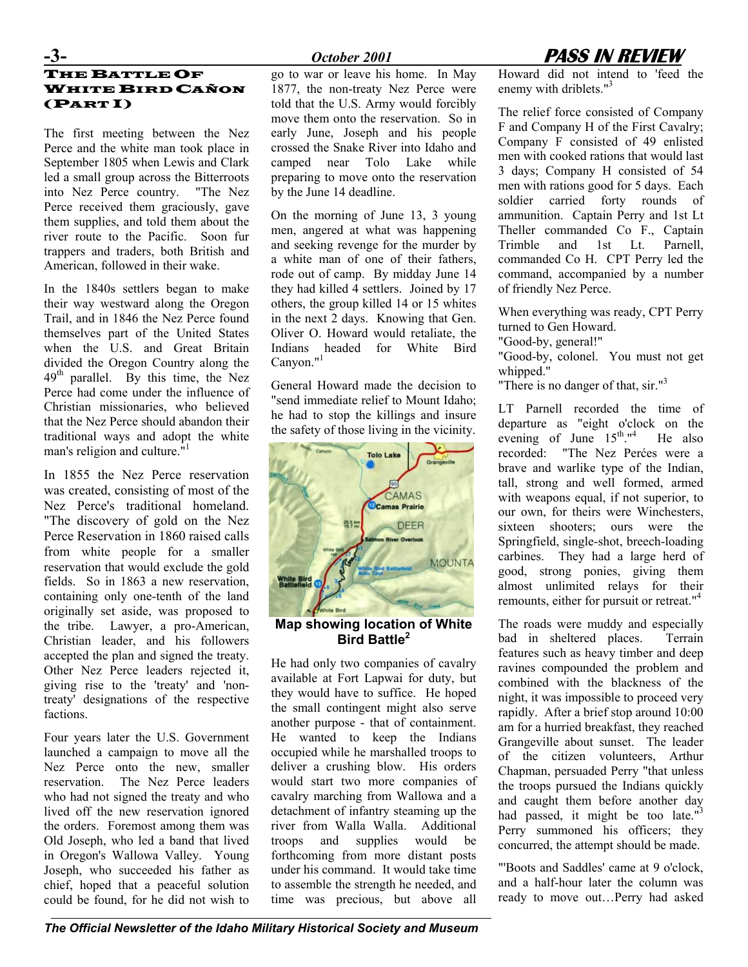### THE BATTLE OF WHITE BIRD CAÑON (PART I)

The first meeting between the Nez Perce and the white man took place in September 1805 when Lewis and Clark led a small group across the Bitterroots into Nez Perce country. "The Nez Perce received them graciously, gave them supplies, and told them about the river route to the Pacific. Soon fur trappers and traders, both British and American, followed in their wake.

In the 1840s settlers began to make their way westward along the Oregon Trail, and in 1846 the Nez Perce found themselves part of the United States when the U.S. and Great Britain divided the Oregon Country along the  $49<sup>th</sup>$  parallel. By this time, the Nez Perce had come under the influence of Christian missionaries, who believed that the Nez Perce should abandon their traditional ways and adopt the white man's religion and culture.<sup>"[1](#page-7-0)</sup>

In 1855 the Nez Perce reservation was created, consisting of most of the Nez Perce's traditional homeland. "The discovery of gold on the Nez Perce Reservation in 1860 raised calls from white people for a smaller reservation that would exclude the gold fields. So in 1863 a new reservation, containing only one-tenth of the land originally set aside, was proposed to the tribe. Lawyer, a pro-American, Christian leader, and his followers accepted the plan and signed the treaty. Other Nez Perce leaders rejected it, giving rise to the 'treaty' and 'nontreaty' designations of the respective factions.

Four years later the U.S. Government launched a campaign to move all the Nez Perce onto the new, smaller reservation. The Nez Perce leaders who had not signed the treaty and who lived off the new reservation ignored the orders. Foremost among them was Old Joseph, who led a band that lived in Oregon's Wallowa Valley. Young Joseph, who succeeded his father as chief, hoped that a peaceful solution could be found, for he did not wish to

go to war or leave his home. In May 1877, the non-treaty Nez Perce were told that the U.S. Army would forcibly move them onto the reservation. So in early June, Joseph and his people crossed the Snake River into Idaho and camped near Tolo Lake while preparing to move onto the reservation by the June 14 deadline.

On the morning of June 13, 3 young men, angered at what was happening and seeking revenge for the murder by a white man of one of their fathers, rode out of camp. By midday June 14 they had killed 4 settlers. Joined by 17 others, the group killed 14 or 15 whites in the next 2 days. Knowing that Gen. Oliver O. Howard would retaliate, the Indians headed for White Bird Canyon."<sup>1</sup>

General Howard made the decision to "send immediate relief to Mount Idaho; he had to stop the killings and insure the safety of those living in the vicinity.



**Map showing location of White Bird Battle<sup>2</sup>**

He had only two companies of cavalry available at Fort Lapwai for duty, but they would have to suffice. He hoped the small contingent might also serve another purpose - that of containment. He wanted to keep the Indians occupied while he marshalled troops to deliver a crushing blow. His orders would start two more companies of cavalry marching from Wallowa and a detachment of infantry steaming up the river from Walla Walla. Additional troops and supplies would be forthcoming from more distant posts under his command. It would take time to assemble the strength he needed, and time was precious, but above all



Howard did not intend to 'feed the enemy with driblets."<sup>3</sup>

The relief force consisted of Company F and Company H of the First Cavalry; Company F consisted of 49 enlisted men with cooked rations that would last 3 days; Company H consisted of 54 men with rations good for 5 days. Each soldier carried forty rounds of ammunition. Captain Perry and 1st Lt Theller commanded Co F., Captain Trimble and 1st Lt. Parnell, commanded Co H. CPT Perry led the command, accompanied by a number of friendly Nez Perce.

When everything was ready, CPT Perry turned to Gen Howard.

"Good-by, general!"

"Good-by, colonel. You must not get whipped."

"There is no danger of that, sir."<sup>3</sup>

LT Parnell recorded the time of departure as "eight o'clock on the evening of June  $15^{\text{th}}$ ."<sup>4</sup> He also recorded: "The Nez Perćes were a brave and warlike type of the Indian, tall, strong and well formed, armed with weapons equal, if not superior, to our own, for theirs were Winchesters, sixteen shooters; ours were the Springfield, single-shot, breech-loading carbines. They had a large herd of good, strong ponies, giving them almost unlimited relays for their remounts, either for pursuit or retreat."<sup>4</sup>

The roads were muddy and especially bad in sheltered places. Terrain features such as heavy timber and deep ravines compounded the problem and combined with the blackness of the night, it was impossible to proceed very rapidly. After a brief stop around 10:00 am for a hurried breakfast, they reached Grangeville about sunset. The leader of the citizen volunteers, Arthur Chapman, persuaded Perry "that unless the troops pursued the Indians quickly and caught them before another day had passed, it might be too late."<sup>3</sup> Perry summoned his officers; they concurred, the attempt should be made.

"'Boots and Saddles' came at 9 o'clock, and a half-hour later the column was ready to move out…Perry had asked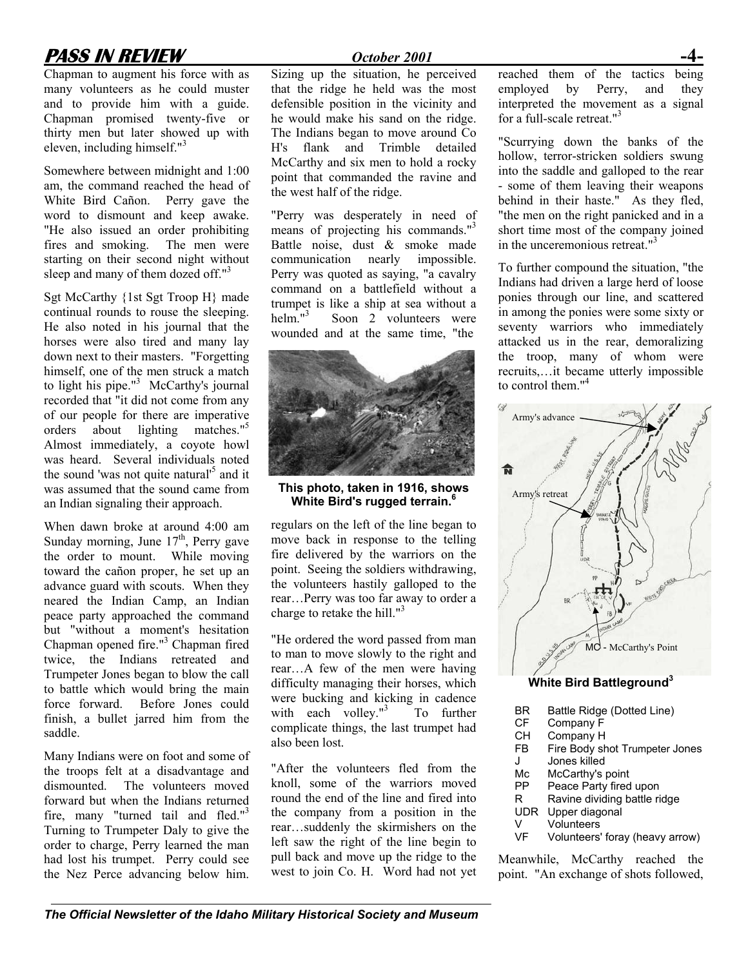# **PASS IN REVIEW** *October 2001*

Chapman to augment his force with as many volunteers as he could muster and to provide him with a guide. Chapman promised twenty-five or thirty men but later showed up with eleven, including himself."3

Somewhere between midnight and 1:00 am, the command reached the head of White Bird Cañon. Perry gave the word to dismount and keep awake. "He also issued an order prohibiting fires and smoking. The men were starting on their second night without sleep and many of them dozed off."<sup>3</sup>

Sgt McCarthy {1st Sgt Troop H} made continual rounds to rouse the sleeping. He also noted in his journal that the horses were also tired and many lay down next to their masters. "Forgetting himself, one of the men struck a match to light his pipe." $3$  McCarthy's journal recorded that "it did not come from any of our people for there are imperative orders about lighting matches."5 Almost immediately, a coyote howl was heard. Several individuals noted the sound 'was not quite natural'<sup>5</sup> and it was assumed that the sound came from an Indian signaling their approach.

When dawn broke at around 4:00 am Sunday morning, June  $17<sup>th</sup>$ , Perry gave the order to mount. While moving toward the cañon proper, he set up an advance guard with scouts. When they neared the Indian Camp, an Indian peace party approached the command but "without a moment's hesitation Chapman opened fire."<sup>3</sup> Chapman fired twice, the Indians retreated and Trumpeter Jones began to blow the call to battle which would bring the main force forward. Before Jones could finish, a bullet jarred him from the saddle.

Many Indians were on foot and some of the troops felt at a disadvantage and dismounted. The volunteers moved forward but when the Indians returned fire, many "turned tail and fled."<sup>3</sup> Turning to Trumpeter Daly to give the order to charge, Perry learned the man had lost his trumpet. Perry could see the Nez Perce advancing below him.

Sizing up the situation, he perceived that the ridge he held was the most defensible position in the vicinity and he would make his sand on the ridge. The Indians began to move around Co H's flank and Trimble detailed McCarthy and six men to hold a rocky point that commanded the ravine and the west half of the ridge.

"Perry was desperately in need of means of projecting his commands."<sup>3</sup> Battle noise, dust & smoke made communication nearly impossible. Perry was quoted as saying, "a cavalry command on a battlefield without a trumpet is like a ship at sea without a helm. $13$  Soon 2 volunteers were wounded and at the same time, "the



### **This photo, taken in 1916, shows White Bird's rugged terrain.6**

regulars on the left of the line began to move back in response to the telling fire delivered by the warriors on the point. Seeing the soldiers withdrawing, the volunteers hastily galloped to the rear…Perry was too far away to order a charge to retake the hill." $3$ 

"He ordered the word passed from man to man to move slowly to the right and rear…A few of the men were having difficulty managing their horses, which were bucking and kicking in cadence with each volley." $3$  To further complicate things, the last trumpet had also been lost.

"After the volunteers fled from the knoll, some of the warriors moved round the end of the line and fired into the company from a position in the rear…suddenly the skirmishers on the left saw the right of the line begin to pull back and move up the ridge to the west to join Co. H. Word had not yet reached them of the tactics being employed by Perry, and they interpreted the movement as a signal for a full-scale retreat."<sup>3</sup>

"Scurrying down the banks of the hollow, terror-stricken soldiers swung into the saddle and galloped to the rear - some of them leaving their weapons behind in their haste." As they fled, "the men on the right panicked and in a short time most of the company joined in the unceremonious retreat."<sup>3</sup>

To further compound the situation, "the Indians had driven a large herd of loose ponies through our line, and scattered in among the ponies were some sixty or seventy warriors who immediately attacked us in the rear, demoralizing the troop, many of whom were recruits,…it became utterly impossible to control them."<sup>4</sup>



- PP Peace Party fired upon
- R Ravine dividing battle ridge
- UDR Upper diagonal
- V Volunteers<br>VF Volunteers'
- Volunteers' foray (heavy arrow)

Meanwhile, McCarthy reached the point. "An exchange of shots followed,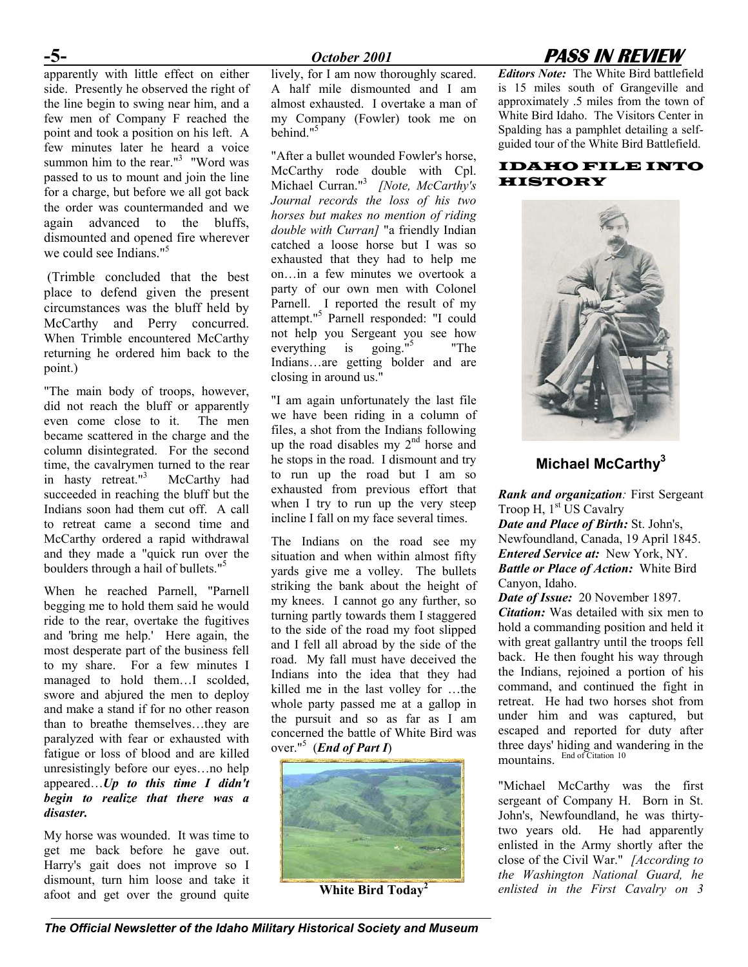### **-5-** *October 2001* **PASS IN REVIEW**

apparently with little effect on either side. Presently he observed the right of the line begin to swing near him, and a few men of Company F reached the point and took a position on his left. A few minutes later he heard a voice summon him to the rear." $3$  "Word was passed to us to mount and join the line for a charge, but before we all got back the order was countermanded and we again advanced to the bluffs, dismounted and opened fire wherever we could see Indians."<sup>5</sup>

(Trimble concluded that the best place to defend given the present circumstances was the bluff held by McCarthy and Perry concurred. When Trimble encountered McCarthy returning he ordered him back to the point.)

"The main body of troops, however, did not reach the bluff or apparently even come close to it. The men became scattered in the charge and the column disintegrated. For the second time, the cavalrymen turned to the rear in hasty retreat."<sup>3</sup> McCarthy had succeeded in reaching the bluff but the Indians soon had them cut off. A call to retreat came a second time and McCarthy ordered a rapid withdrawal and they made a "quick run over the boulders through a hail of bullets."<sup>5</sup>

When he reached Parnell, "Parnell begging me to hold them said he would ride to the rear, overtake the fugitives and 'bring me help.' Here again, the most desperate part of the business fell to my share. For a few minutes I managed to hold them…I scolded, swore and abjured the men to deploy and make a stand if for no other reason than to breathe themselves…they are paralyzed with fear or exhausted with fatigue or loss of blood and are killed unresistingly before our eyes…no help appeared…*Up to this time I didn't begin to realize that there was a disaster.* 

My horse was wounded. It was time to get me back before he gave out. Harry's gait does not improve so I dismount, turn him loose and take it afoot and get over the ground quite lively, for I am now thoroughly scared. A half mile dismounted and I am almost exhausted. I overtake a man of my Company (Fowler) took me on behind."<sup>5</sup>

"After a bullet wounded Fowler's horse, McCarthy rode double with Cpl. Michael Curran."3 *[Note, McCarthy's Journal records the loss of his two horses but makes no mention of riding double with Curran]* "a friendly Indian catched a loose horse but I was so exhausted that they had to help me on…in a few minutes we overtook a party of our own men with Colonel Parnell. I reported the result of my attempt."5 Parnell responded: "I could not help you Sergeant you see how everything is going.<sup>"5</sup> "The Indians…are getting bolder and are closing in around us."

"I am again unfortunately the last file we have been riding in a column of files, a shot from the Indians following up the road disables my  $2<sup>nd</sup>$  horse and he stops in the road. I dismount and try to run up the road but I am so exhausted from previous effort that when I try to run up the very steep incline I fall on my face several times.

situation and when within almost fifty yards give me a volley. The bullets striking the bank about the height of my knees. I cannot go any further, so turning partly towards them I staggered to the side of the road my foot slipped and I fell all abroad by the side of the road. My fall must have deceived the Indians into the idea that they had killed me in the last volley for …the whole party passed me at a gallop in the pursuit and so as far as I am concerned the battle of White Bird was over."5 (*End of Part I*)



**White Bird Today<sup>2</sup>**

*Editors Note:* The White Bird battlefield is 15 miles south of Grangeville and approximately .5 miles from the town of White Bird Idaho. The Visitors Center in Spalding has a pamphlet detailing a selfguided tour of the White Bird Battlefield.

### IDAHO FILE INTO HISTORY



### **Michael McCarthy3**

*Rank and organization:* First Sergeant Troop H, 1<sup>st</sup> US Cavalry

*Date and Place of Birth:* St. John's, The Indians on the road see my Newfoundland, Canada, 19 April 1845. *Entered Service at:*New York, NY. *Battle or Place of Action:* White Bird Canyon, Idaho.

> *Date of Issue:* 20 November 1897. *Citation:* Was detailed with six men to hold a commanding position and held it with great gallantry until the troops fell back. He then fought his way through the Indians, rejoined a portion of his command, and continued the fight in retreat. He had two horses shot from under him and was captured, but escaped and reported for duty after three days' hiding and wandering in the mountains. End of Citation 10

> "Michael McCarthy was the first sergeant of Company H. Born in St. John's, Newfoundland, he was thirtytwo years old. He had apparently enlisted in the Army shortly after the close of the Civil War." *[According to the Washington National Guard, he enlisted in the First Cavalry on 3*

*The Official Newsletter of the Idaho Military Historical Society and Museum*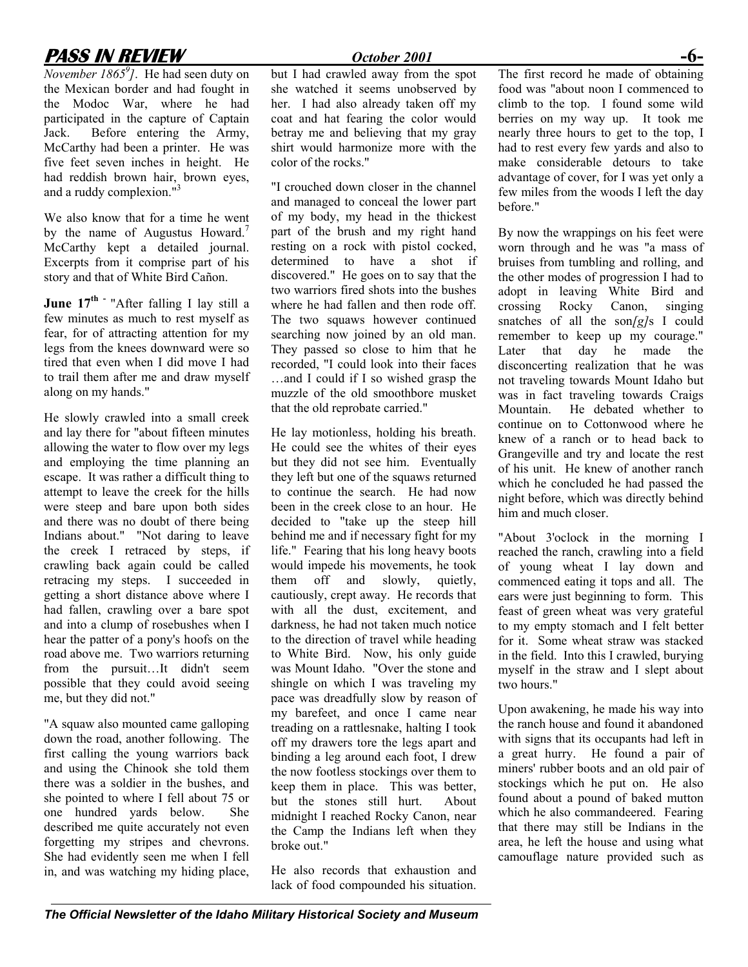the Mexican border and had fought in the Modoc War, where he had participated in the capture of Captain Jack. Before entering the Army, McCarthy had been a printer. He was five feet seven inches in height. He had reddish brown hair, brown eyes, and a ruddy complexion."<sup>3</sup>

We also know that for a time he went by the name of Augustus Howard.<sup>7</sup> McCarthy kept a detailed journal. Excerpts from it comprise part of his story and that of White Bird Cañon.

June  $17^{\text{th}}$  <sup>-</sup> "After falling I lay still a few minutes as much to rest myself as fear, for of attracting attention for my legs from the knees downward were so tired that even when I did move I had to trail them after me and draw myself along on my hands."

He slowly crawled into a small creek and lay there for "about fifteen minutes allowing the water to flow over my legs and employing the time planning an escape. It was rather a difficult thing to attempt to leave the creek for the hills were steep and bare upon both sides and there was no doubt of there being Indians about." "Not daring to leave the creek I retraced by steps, if crawling back again could be called retracing my steps. I succeeded in getting a short distance above where I had fallen, crawling over a bare spot and into a clump of rosebushes when I hear the patter of a pony's hoofs on the road above me. Two warriors returning from the pursuit…It didn't seem possible that they could avoid seeing me, but they did not."

"A squaw also mounted came galloping down the road, another following. The first calling the young warriors back and using the Chinook she told them there was a soldier in the bushes, and she pointed to where I fell about 75 or one hundred yards below. She described me quite accurately not even forgetting my stripes and chevrons. She had evidently seen me when I fell in, and was watching my hiding place,

but I had crawled away from the spot she watched it seems unobserved by her. I had also already taken off my coat and hat fearing the color would betray me and believing that my gray shirt would harmonize more with the color of the rocks."

"I crouched down closer in the channel and managed to conceal the lower part of my body, my head in the thickest part of the brush and my right hand resting on a rock with pistol cocked, determined to have a shot if discovered." He goes on to say that the two warriors fired shots into the bushes where he had fallen and then rode off. The two squaws however continued searching now joined by an old man. They passed so close to him that he recorded, "I could look into their faces …and I could if I so wished grasp the muzzle of the old smoothbore musket that the old reprobate carried."

He lay motionless, holding his breath. He could see the whites of their eyes but they did not see him. Eventually they left but one of the squaws returned to continue the search. He had now been in the creek close to an hour. He decided to "take up the steep hill behind me and if necessary fight for my life." Fearing that his long heavy boots would impede his movements, he took them off and slowly, quietly, cautiously, crept away. He records that with all the dust, excitement, and darkness, he had not taken much notice to the direction of travel while heading to White Bird. Now, his only guide was Mount Idaho. "Over the stone and shingle on which I was traveling my pace was dreadfully slow by reason of my barefeet, and once I came near treading on a rattlesnake, halting I took off my drawers tore the legs apart and binding a leg around each foot, I drew the now footless stockings over them to keep them in place. This was better, but the stones still hurt. About midnight I reached Rocky Canon, near the Camp the Indians left when they broke out."

He also records that exhaustion and lack of food compounded his situation.

**PASS IN REVIEW**<br>
November 1865<sup>9</sup>]. He had seen duty on but I had crawled away from the spot The first record he made of obtaining The first record he made of obtaining food was "about noon I commenced to climb to the top. I found some wild berries on my way up. It took me nearly three hours to get to the top, I had to rest every few yards and also to make considerable detours to take advantage of cover, for I was yet only a few miles from the woods I left the day before."

> By now the wrappings on his feet were worn through and he was "a mass of bruises from tumbling and rolling, and the other modes of progression I had to adopt in leaving White Bird and crossing Rocky Canon, singing snatches of all the son*[g]*s I could remember to keep up my courage." Later that day he made the disconcerting realization that he was not traveling towards Mount Idaho but was in fact traveling towards Craigs Mountain. He debated whether to continue on to Cottonwood where he knew of a ranch or to head back to Grangeville and try and locate the rest of his unit. He knew of another ranch which he concluded he had passed the night before, which was directly behind him and much closer.

"About 3'oclock in the morning I reached the ranch, crawling into a field of young wheat I lay down and commenced eating it tops and all. The ears were just beginning to form. This feast of green wheat was very grateful to my empty stomach and I felt better for it. Some wheat straw was stacked in the field. Into this I crawled, burying myself in the straw and I slept about two hours."

Upon awakening, he made his way into the ranch house and found it abandoned with signs that its occupants had left in a great hurry. He found a pair of miners' rubber boots and an old pair of stockings which he put on. He also found about a pound of baked mutton which he also commandeered. Fearing that there may still be Indians in the area, he left the house and using what camouflage nature provided such as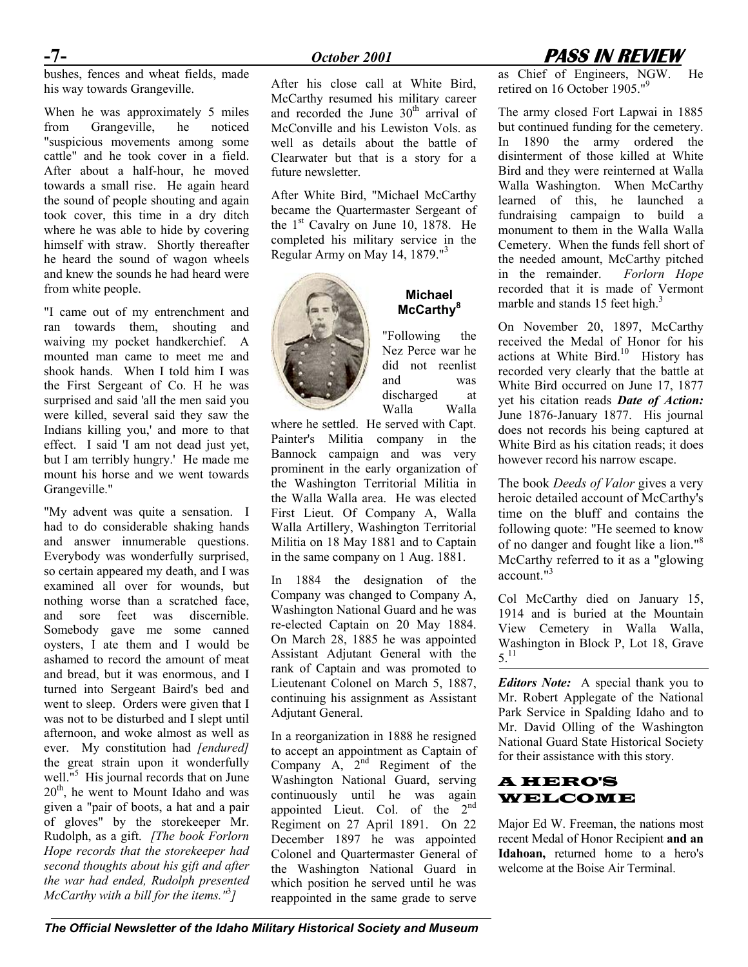bushes, fences and wheat fields, made his way towards Grangeville.

When he was approximately 5 miles from Grangeville, he noticed "suspicious movements among some cattle" and he took cover in a field. After about a half-hour, he moved towards a small rise. He again heard the sound of people shouting and again took cover, this time in a dry ditch where he was able to hide by covering himself with straw. Shortly thereafter he heard the sound of wagon wheels and knew the sounds he had heard were from white people.

"I came out of my entrenchment and ran towards them, shouting and waiving my pocket handkerchief. A mounted man came to meet me and shook hands. When I told him I was the First Sergeant of Co. H he was surprised and said 'all the men said you were killed, several said they saw the Indians killing you,' and more to that effect. I said 'I am not dead just yet, but I am terribly hungry.' He made me mount his horse and we went towards Grangeville."

"My advent was quite a sensation. I had to do considerable shaking hands and answer innumerable questions. Everybody was wonderfully surprised, so certain appeared my death, and I was examined all over for wounds, but nothing worse than a scratched face, and sore feet was discernible. Somebody gave me some canned oysters, I ate them and I would be ashamed to record the amount of meat and bread, but it was enormous, and I turned into Sergeant Baird's bed and went to sleep. Orders were given that I was not to be disturbed and I slept until afternoon, and woke almost as well as ever. My constitution had *[endured]* the great strain upon it wonderfully well.<sup>"5</sup> His journal records that on June  $20<sup>th</sup>$ , he went to Mount Idaho and was given a "pair of boots, a hat and a pair of gloves" by the storekeeper Mr. Rudolph, as a gift. *[The book Forlorn Hope records that the storekeeper had second thoughts about his gift and after the war had ended, Rudolph presented McCarthy with a bill for the items."* 3 *]* 

After his close call at White Bird, McCarthy resumed his military career and recorded the June  $30<sup>th</sup>$  arrival of McConville and his Lewiston Vols. as well as details about the battle of Clearwater but that is a story for a future newsletter.

After White Bird, "Michael McCarthy became the Quartermaster Sergeant of the  $1<sup>st</sup>$  Cavalry on June 10, 1878. He completed his military service in the Regular Army on May 14, 1879."3



### **Michael McCarthy8** "Following the

Nez Perce war he did not reenlist and was discharged at Walla Walla

where he settled. He served with Capt. Painter's Militia company in the Bannock campaign and was very prominent in the early organization of the Washington Territorial Militia in the Walla Walla area. He was elected First Lieut. Of Company A, Walla Walla Artillery, Washington Territorial Militia on 18 May 1881 and to Captain in the same company on 1 Aug. 1881.

In 1884 the designation of the Company was changed to Company A, Washington National Guard and he was re-elected Captain on 20 May 1884. On March 28, 1885 he was appointed Assistant Adjutant General with the rank of Captain and was promoted to Lieutenant Colonel on March 5, 1887, continuing his assignment as Assistant Adjutant General.

In a reorganization in 1888 he resigned to accept an appointment as Captain of Company  $A$ ,  $2<sup>nd</sup>$  Regiment of the Washington National Guard, serving continuously until he was again appointed Lieut. Col. of the  $2<sup>nd</sup>$ Regiment on 27 April 1891. On 22 December 1897 he was appointed Colonel and Quartermaster General of the Washington National Guard in which position he served until he was reappointed in the same grade to serve

# **-7-** *October 2001* **PASS IN REVIEW**

as Chief of Engineers, NGW. retired on 16 October 1905."<sup>9</sup>

The army closed Fort Lapwai in 1885 but continued funding for the cemetery. In 1890 the army ordered the disinterment of those killed at White Bird and they were reinterned at Walla Walla Washington. When McCarthy learned of this, he launched a fundraising campaign to build a monument to them in the Walla Walla Cemetery. When the funds fell short of the needed amount, McCarthy pitched in the remainder. *Forlorn Hope* recorded that it is made of Vermont marble and stands 15 feet high.<sup>3</sup>

On November 20, 1897, McCarthy received the Medal of Honor for his actions at White Bird.<sup>10</sup> History has recorded very clearly that the battle at White Bird occurred on June 17, 1877 yet his citation reads *Date of Action:* June 1876-January 1877. His journal does not records his being captured at White Bird as his citation reads; it does however record his narrow escape.

The book *Deeds of Valor* gives a very heroic detailed account of McCarthy's time on the bluff and contains the following quote: "He seemed to know of no danger and fought like a lion."<sup>8</sup> McCarthy referred to it as a "glowing account."<sup>3</sup>

Col McCarthy died on January 15, 1914 and is buried at the Mountain View Cemetery in Walla Walla, Washington in Block P, Lot 18, Grave  $5^{11}$ 

*Editors Note:* A special thank you to Mr. Robert Applegate of the National Park Service in Spalding Idaho and to Mr. David Olling of the Washington National Guard State Historical Society for their assistance with this story.

### A HERO'S WELCOME

Major Ed W. Freeman, the nations most recent Medal of Honor Recipient **and an Idahoan,** returned home to a hero's welcome at the Boise Air Terminal.